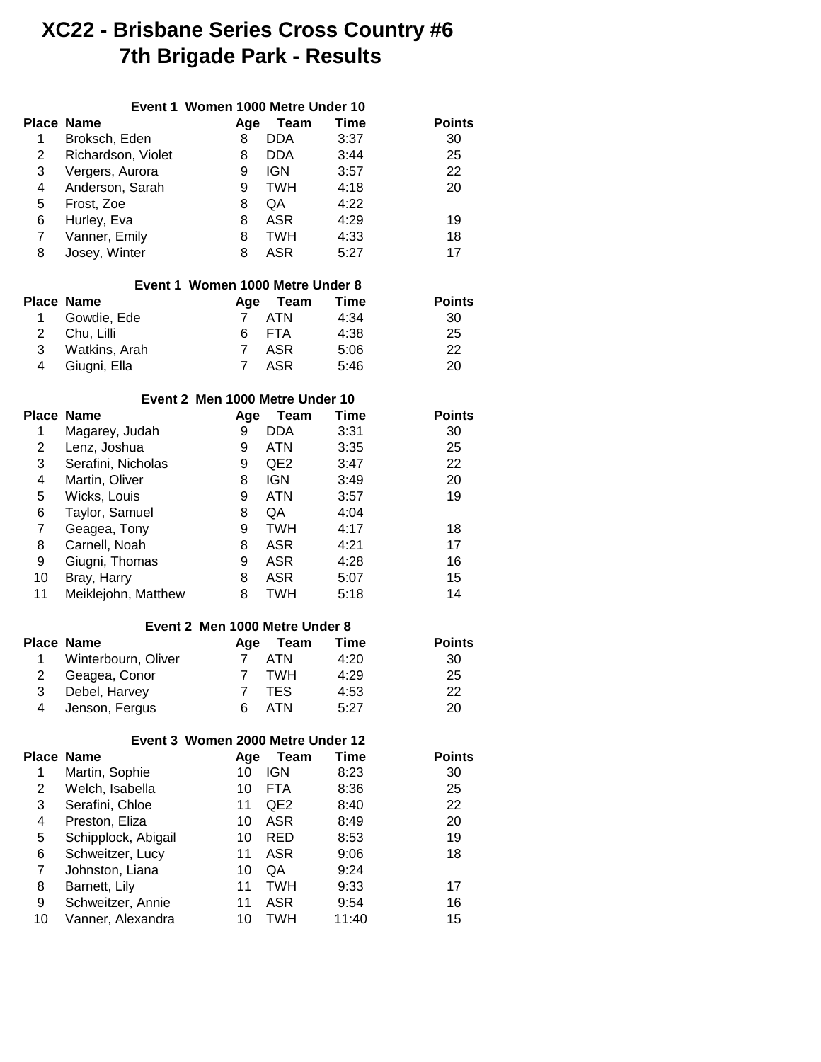## **XC22 - Brisbane Series Cross Country #6 7th Brigade Park - Results**

|                |                     | Event 1 Women 1000 Metre Under 10 |                 |             |               |
|----------------|---------------------|-----------------------------------|-----------------|-------------|---------------|
|                | <b>Place Name</b>   | Age                               | Team            | <b>Time</b> | <b>Points</b> |
| 1              | Broksch, Eden       | 8                                 | <b>DDA</b>      | 3:37        | 30            |
| $\overline{c}$ | Richardson, Violet  | 8                                 | <b>DDA</b>      | 3:44        | 25            |
| 3              | Vergers, Aurora     | 9                                 | <b>IGN</b>      | 3:57        | 22            |
| 4              | Anderson, Sarah     | 9                                 | <b>TWH</b>      | 4:18        | 20            |
| 5              | Frost, Zoe          | 8                                 | QA              | 4:22        |               |
| 6              | Hurley, Eva         | 8                                 | <b>ASR</b>      | 4:29        | 19            |
| $\overline{7}$ | Vanner, Emily       | 8                                 | <b>TWH</b>      | 4:33        | 18            |
| 8              | Josey, Winter       | 8                                 | <b>ASR</b>      | 5:27        | 17            |
|                |                     | Event 1 Women 1000 Metre Under 8  |                 |             |               |
|                | <b>Place Name</b>   | Age                               | Team            | Time        | <b>Points</b> |
| 1              | Gowdie, Ede         | 7                                 | <b>ATN</b>      | 4:34        | 30            |
| $\overline{c}$ | Chu, Lilli          | 6                                 | <b>FTA</b>      | 4:38        | 25            |
| 3              | Watkins, Arah       | $\overline{7}$                    | <b>ASR</b>      | 5:06        | 22            |
| 4              | Giugni, Ella        | $\overline{7}$                    | <b>ASR</b>      | 5:46        | 20            |
|                |                     | Event 2 Men 1000 Metre Under 10   |                 |             |               |
|                | <b>Place Name</b>   | Age                               | <b>Team</b>     | Time        | <b>Points</b> |
| 1              | Magarey, Judah      | 9                                 | <b>DDA</b>      | 3:31        | 30            |
| $\overline{c}$ | Lenz, Joshua        | 9                                 | <b>ATN</b>      | 3:35        | 25            |
| 3              | Serafini, Nicholas  | 9                                 | QE <sub>2</sub> | 3:47        | 22            |
| 4              | Martin, Oliver      | 8                                 | <b>IGN</b>      | 3:49        | 20            |
| 5              | Wicks, Louis        | 9                                 | <b>ATN</b>      | 3:57        | 19            |
| 6              | Taylor, Samuel      | 8                                 | QA              | 4:04        |               |
| 7              | Geagea, Tony        | 9                                 | <b>TWH</b>      | 4:17        | 18            |
| 8              | Carnell, Noah       | 8                                 | <b>ASR</b>      | 4:21        | 17            |
| 9              | Giugni, Thomas      | 9                                 | <b>ASR</b>      | 4:28        | 16            |
| 10             | Bray, Harry         | 8                                 | <b>ASR</b>      | 5:07        | 15            |
| 11             | Meiklejohn, Matthew | 8                                 | <b>TWH</b>      | 5:18        | 14            |
|                |                     | Event 2 Men 1000 Metre Under 8    |                 |             |               |
|                | <b>Place Name</b>   | Age                               | <b>Team</b>     | <b>Time</b> | <b>Points</b> |
| 1              | Winterbourn, Oliver | 7                                 | <b>ATN</b>      | 4:20        | 30            |
| $\overline{c}$ | Geagea, Conor       | 7                                 | <b>TWH</b>      | 4:29        | 25            |
| 3              | Debel, Harvey       | $\overline{7}$                    | <b>TES</b>      | 4:53        | 22            |
| 4              | Jenson, Fergus      | 6                                 | <b>ATN</b>      | 5:27        | 20            |
|                |                     | Event 3 Women 2000 Metre Under 12 |                 |             |               |
|                | <b>Place Name</b>   | Age                               | <b>Team</b>     | <b>Time</b> | <b>Points</b> |
| 1              | Martin, Sophie      | 10                                | <b>IGN</b>      | 8:23        | 30            |
| $\overline{c}$ | Welch, Isabella     | 10                                | <b>FTA</b>      | 8:36        | 25            |
| 3              | Serafini, Chloe     | 11                                | QE <sub>2</sub> | 8:40        | 22            |
| 4              | Preston, Eliza      | 10                                | <b>ASR</b>      | 8:49        | 20            |
| 5              | Schipplock, Abigail | 10                                | <b>RED</b>      | 8:53        | 19            |
| 6              | Schweitzer, Lucy    | 11                                | <b>ASR</b>      | 9:06        | 18            |
| $\overline{7}$ | Johnston, Liana     | 10                                | QA              | 9:24        |               |
| 8              | Barnett, Lily       | 11                                | <b>TWH</b>      | 9:33        | 17            |
| 9              | Schweitzer, Annie   | 11                                | <b>ASR</b>      | 9:54        | 16            |
| 10             | Vanner, Alexandra   | 10                                | <b>TWH</b>      | 11:40       | 15            |
|                |                     |                                   |                 |             |               |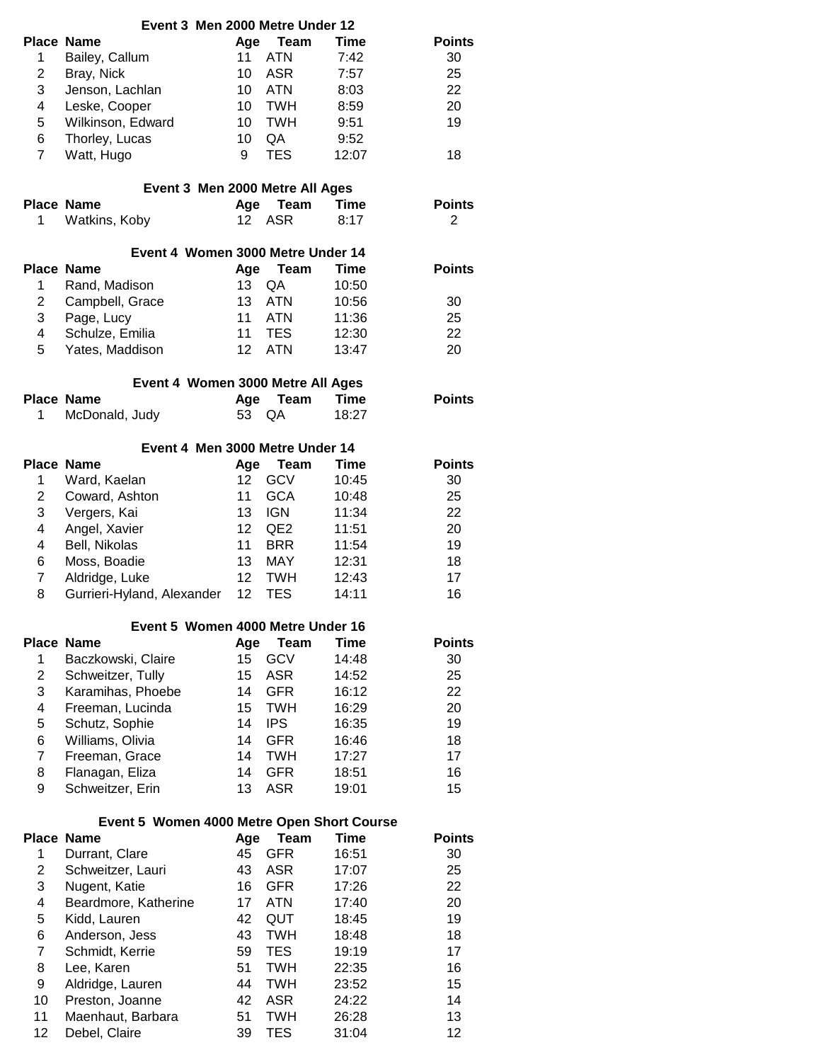| Event 3 Men 2000 Metre Under 12            |                                   |                 |                 |             |               |
|--------------------------------------------|-----------------------------------|-----------------|-----------------|-------------|---------------|
|                                            | <b>Place Name</b>                 | Age             | Team            | Time        | <b>Points</b> |
| 1                                          | Bailey, Callum                    | 11              | <b>ATN</b>      | 7:42        | 30            |
| $\overline{c}$                             | Bray, Nick                        | 10              | <b>ASR</b>      | 7:57        | 25            |
| 3                                          | Jenson, Lachlan                   | 10              | <b>ATN</b>      | 8:03        | 22            |
| 4                                          | Leske, Cooper                     | 10              | <b>TWH</b>      | 8:59        | 20            |
| 5                                          | Wilkinson, Edward                 | 10              | <b>TWH</b>      | 9:51        | 19            |
| 6                                          | Thorley, Lucas                    | 10              | QA              | 9:52        |               |
| $\overline{7}$                             | Watt, Hugo                        | 9               | <b>TES</b>      | 12:07       | 18            |
|                                            |                                   |                 |                 |             |               |
|                                            | Event 3 Men 2000 Metre All Ages   |                 |                 |             |               |
|                                            | Place Name                        | Age             | <b>Team</b>     | Time        | <b>Points</b> |
| 1                                          | Watkins, Koby                     | 12              | <b>ASR</b>      | 8:17        | 2             |
|                                            |                                   |                 |                 |             |               |
|                                            | Event 4 Women 3000 Metre Under 14 |                 |                 |             |               |
|                                            | <b>Place Name</b>                 | Age             | Team            | Time        | <b>Points</b> |
| 1                                          | Rand, Madison                     | 13              | QA              | 10:50       |               |
| $\overline{c}$                             | Campbell, Grace                   | 13              | <b>ATN</b>      | 10:56       | 30            |
| 3                                          | Page, Lucy                        | 11              | <b>ATN</b>      | 11:36       | 25            |
| 4                                          | Schulze, Emilia                   | 11              | <b>TES</b>      | 12:30       | 22            |
| 5                                          | Yates, Maddison                   | 12              | <b>ATN</b>      | 13:47       | 20            |
|                                            |                                   |                 |                 |             |               |
|                                            | Event 4 Women 3000 Metre All Ages |                 |                 |             |               |
|                                            | <b>Place Name</b>                 | Age             | Team            | Time        | <b>Points</b> |
| 1                                          | McDonald, Judy                    | 53              | QA              | 18:27       |               |
|                                            | Event 4 Men 3000 Metre Under 14   |                 |                 |             |               |
|                                            | <b>Place Name</b>                 |                 | Team            | <b>Time</b> | <b>Points</b> |
|                                            |                                   | Age<br>12       | <b>GCV</b>      | 10:45       |               |
| 1                                          | Ward, Kaelan                      |                 |                 |             | 30            |
| $\overline{c}$                             | Coward, Ashton                    | 11              | <b>GCA</b>      | 10:48       | 25            |
| 3                                          | Vergers, Kai                      | 13              | <b>IGN</b>      | 11:34       | 22            |
| 4                                          | Angel, Xavier                     | 12 <sup>2</sup> | QE <sub>2</sub> | 11:51       | 20            |
| 4                                          | Bell, Nikolas                     | 11              | <b>BRR</b>      | 11:54       | 19            |
| 6                                          | Moss, Boadie                      | 13              | <b>MAY</b>      | 12:31       | 18            |
| 7                                          | Aldridge, Luke                    | 12 <sup>2</sup> | <b>TWH</b>      | 12:43       | 17            |
| 8                                          | Gurrieri-Hyland, Alexander        | 12 <sup>2</sup> | <b>TES</b>      | 14:11       | 16            |
|                                            | Event 5 Women 4000 Metre Under 16 |                 |                 |             |               |
|                                            | <b>Place Name</b>                 | Age             | Team            | Time        | <b>Points</b> |
| 1                                          | Baczkowski, Claire                | 15              | <b>GCV</b>      | 14:48       | 30            |
| $\overline{c}$                             | Schweitzer, Tully                 | 15              | <b>ASR</b>      | 14:52       | 25            |
| 3                                          | Karamihas, Phoebe                 | 14              | <b>GFR</b>      | 16:12       | 22            |
| 4                                          | Freeman, Lucinda                  |                 | <b>TWH</b>      | 16:29       | 20            |
|                                            |                                   | 15              | <b>IPS</b>      |             |               |
| 5                                          | Schutz, Sophie                    | 14              |                 | 16:35       | 19            |
| 6                                          | Williams, Olivia                  | 14              | <b>GFR</b>      | 16:46       | 18            |
| $\overline{7}$                             | Freeman, Grace                    | 14              | <b>TWH</b>      | 17:27       | 17            |
| 8                                          | Flanagan, Eliza                   | 14              | <b>GFR</b>      | 18:51       | 16            |
| 9                                          | Schweitzer, Erin                  | 13              | <b>ASR</b>      | 19:01       | 15            |
| Event 5 Women 4000 Metre Open Short Course |                                   |                 |                 |             |               |
|                                            | <b>Place Name</b>                 | Age             | <b>Team</b>     | Time        | <b>Points</b> |
| $\mathbf 1$                                | Durrant, Clare                    | 45              | <b>GFR</b>      | 16:51       | 30            |
|                                            |                                   |                 |                 |             |               |
| $\overline{c}$                             | Schweitzer, Lauri                 | 43              | <b>ASR</b>      | 17:07       | 25            |
| 3                                          | Nugent, Katie                     | 16              | <b>GFR</b>      | 17:26       | 22            |
| 4                                          | Beardmore, Katherine              | 17              | <b>ATN</b>      | 17:40       | 20            |
| 5                                          | Kidd, Lauren                      | 42              | QUT             | 18:45       | 19            |
| 6                                          | Anderson, Jess                    | 43              | <b>TWH</b>      | 18:48       | 18            |
| $\overline{7}$                             | Schmidt, Kerrie                   | 59              | <b>TES</b>      | 19:19       | 17            |
| 8                                          | Lee, Karen                        | 51              | <b>TWH</b>      | 22:35       | 16            |
| 9                                          | Aldridge, Lauren                  | 44              | <b>TWH</b>      | 23:52       | 15            |
| 10                                         | Preston, Joanne                   | 42              | <b>ASR</b>      | 24:22       | 14            |
| 11                                         | Maenhaut, Barbara                 | 51              | <b>TWH</b>      | 26:28       | 13            |
| 12                                         | Debel, Claire                     | 39              | <b>TES</b>      | 31:04       | 12            |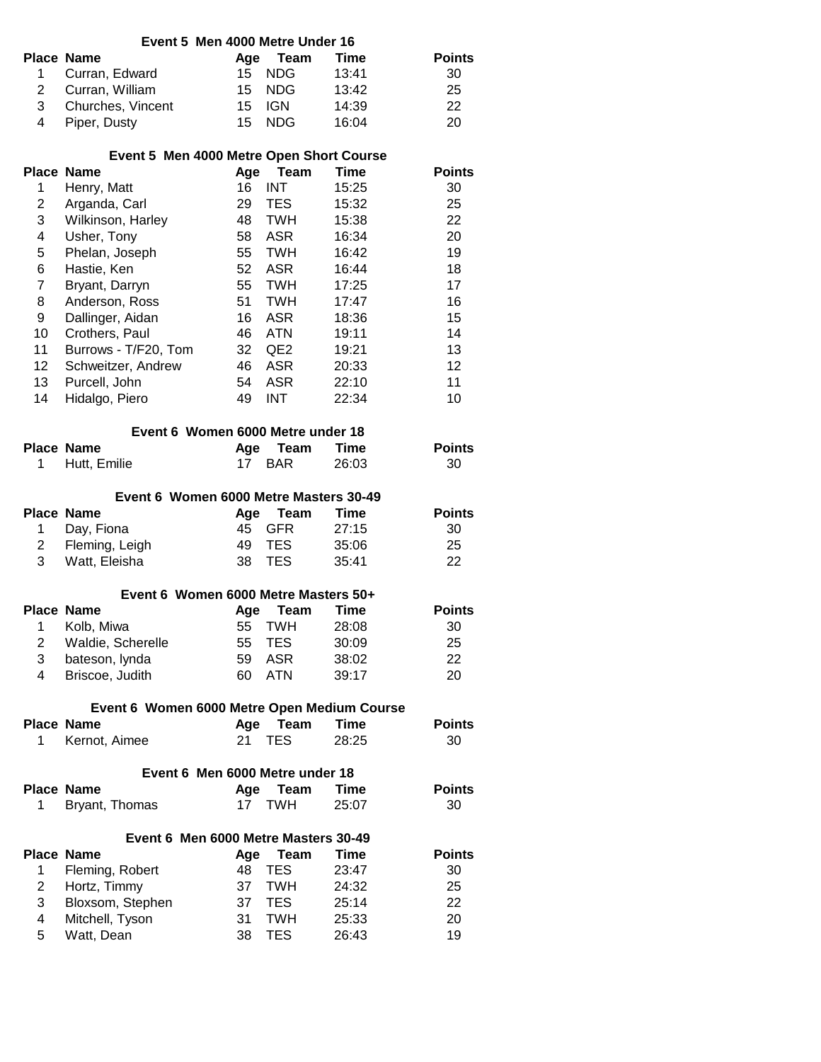|                 | Event 5 Men 4000 Metre Under 16                                  |           |                           |                |                     |
|-----------------|------------------------------------------------------------------|-----------|---------------------------|----------------|---------------------|
|                 | <b>Place Name</b>                                                | Age       | Team                      | Time           | <b>Points</b>       |
| 1.              | Curran, Edward                                                   | 15        | <b>NDG</b>                | 13:41          | 30                  |
| $\overline{2}$  | Curran, William                                                  | 15        | <b>NDG</b>                | 13:42          | 25                  |
| 3               | Churches, Vincent                                                | 15        | <b>IGN</b>                | 14:39          | 22                  |
| 4               | Piper, Dusty                                                     | 15        | NDG.                      | 16:04          | 20                  |
|                 | Event 5 Men 4000 Metre Open Short Course                         |           |                           |                |                     |
|                 | <b>Place Name</b>                                                | Age       | Team                      | <b>Time</b>    | <b>Points</b>       |
| 1               | Henry, Matt                                                      | 16        | <b>INT</b>                | 15:25          | 30                  |
| $\overline{c}$  | Arganda, Carl                                                    | 29        | <b>TES</b>                | 15:32          | 25                  |
| 3               | Wilkinson, Harley                                                | 48        | <b>TWH</b>                | 15:38          | 22                  |
| 4               | Usher, Tony                                                      | 58        | ASR                       | 16:34          | 20                  |
| 5               | Phelan, Joseph                                                   | 55        | TWH                       | 16:42          | 19                  |
| 6               | Hastie, Ken                                                      | 52        | ASR                       | 16:44          | 18                  |
| 7               | Bryant, Darryn                                                   | 55        | TWH                       | 17:25          | 17                  |
| 8               | Anderson, Ross                                                   | 51        | <b>TWH</b>                | 17:47          | 16                  |
| 9               | Dallinger, Aidan                                                 | 16        | ASR                       | 18:36          | 15                  |
| 10              | Crothers, Paul                                                   | 46        | ATN                       | 19:11          | 14                  |
| 11              | Burrows - T/F20, Tom                                             | 32        | QE2                       | 19:21          | 13                  |
| 12 <sup>°</sup> | Schweitzer, Andrew                                               | 46        | ASR                       | 20:33          | 12                  |
| 13              | Purcell, John                                                    | 54        | <b>ASR</b>                | 22:10          | 11                  |
| 14              | Hidalgo, Piero                                                   | 49        | <b>INT</b>                | 22:34          | 10                  |
|                 | Event 6 Women 6000 Metre under 18                                |           |                           |                |                     |
|                 | <b>Place Name</b>                                                | Age       | Team                      | Time           | <b>Points</b>       |
| 1               | Hutt, Emilie                                                     | 17        | <b>BAR</b>                | 26:03          | 30                  |
|                 |                                                                  |           |                           |                |                     |
|                 | Event 6 Women 6000 Metre Masters 30-49                           |           |                           |                |                     |
| 1               | <b>Place Name</b>                                                | Age       | Team                      | Time           | <b>Points</b>       |
|                 |                                                                  |           |                           |                |                     |
|                 | Day, Fiona                                                       | 45        | <b>GFR</b>                | 27:15          | 30                  |
| $\overline{2}$  | Fleming, Leigh                                                   | 49        | <b>TES</b>                | 35:06          | 25                  |
| 3               | Watt, Eleisha                                                    | 38        | <b>TES</b>                | 35:41          | 22                  |
|                 | Event 6 Women 6000 Metre Masters 50+                             |           |                           |                |                     |
|                 | <b>Place Name</b>                                                | Age       | <b>Team</b>               | Time           | <b>Points</b>       |
| 1               | Kolb, Miwa                                                       | 55        | <b>TWH</b>                | 28:08          | 30                  |
| 2               | Waldie, Scherelle                                                | 55        | <b>TES</b>                | 30:09          | 25                  |
| 3               | bateson, lynda                                                   | 59        | <b>ASR</b>                | 38:02          | 22                  |
| 4               | Briscoe, Judith                                                  | 60        | <b>ATN</b>                | 39:17          | 20                  |
|                 |                                                                  |           |                           |                |                     |
|                 | Event 6 Women 6000 Metre Open Medium Course<br><b>Place Name</b> | Age       | <b>Team</b>               | <b>Time</b>    | <b>Points</b>       |
| 1.              | Kernot, Aimee                                                    | 21        | <b>TES</b>                | 28:25          | 30                  |
|                 |                                                                  |           |                           |                |                     |
|                 | Event 6 Men 6000 Metre under 18                                  |           |                           |                |                     |
| 1               | <b>Place Name</b><br>Bryant, Thomas                              | Age<br>17 | <b>Team</b><br><b>TWH</b> | Time<br>25:07  | <b>Points</b><br>30 |
|                 |                                                                  |           |                           |                |                     |
|                 | Event 6 Men 6000 Metre Masters 30-49                             |           |                           |                |                     |
|                 | <b>Place Name</b>                                                | Age       | Team                      | Time           | <b>Points</b>       |
| 1.              | Fleming, Robert                                                  | 48        | <b>TES</b>                | 23:47          | 30                  |
| $\overline{2}$  | Hortz, Timmy                                                     | 37        | <b>TWH</b>                | 24:32          | 25                  |
| 3               | Bloxsom, Stephen                                                 | 37        | <b>TES</b>                | 25:14          | 22                  |
| 4<br>5          | Mitchell, Tyson<br>Watt, Dean                                    | 31<br>38  | <b>TWH</b><br><b>TES</b>  | 25:33<br>26:43 | 20<br>19            |